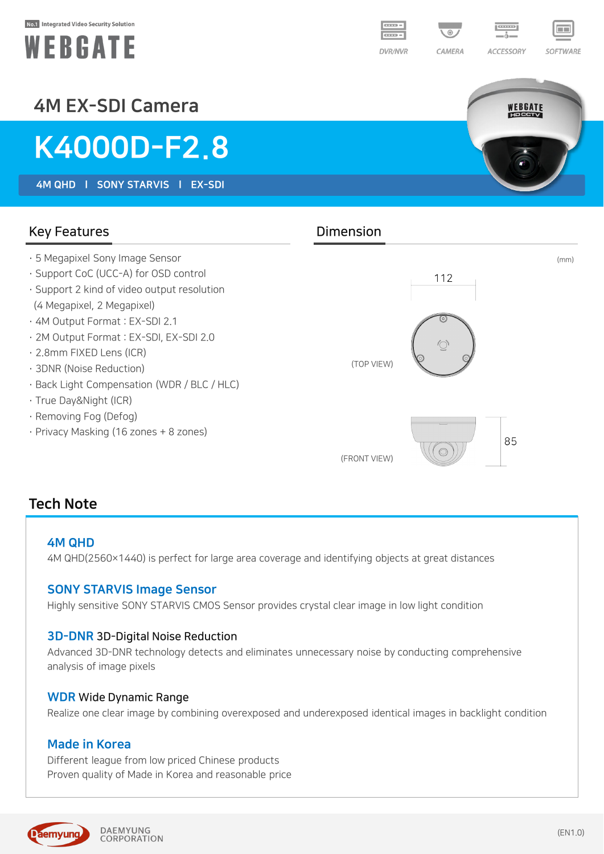#### No.1 Integrated Video Security Solution





## SOFTWARE

WEBGATE

### 4M EX-SDI Camera

# K4000D-F2.8

4M QHD l SONY STARVIS l EX-SDI

Key Features **Dimension** · 5 Megapixel Sony Image Sensor (mm) · Support CoC (UCC-A) for OSD control 112 · Support 2 kind of video output resolution (4 Megapixel, 2 Megapixel) · 4M Output Format : EX-SDI 2.1 · 2M Output Format : EX-SDI, EX-SDI 2.0 · 2.8mm FIXED Lens (ICR) (TOP VIEW) · 3DNR (Noise Reduction) · Back Light Compensation (WDR / BLC / HLC) · True Day&Night (ICR) · Removing Fog (Defog) · Privacy Masking (16 zones + 8 zones) 85  $\bigcirc$ (FRONT VIEW)

### Tech Note

#### 4M QHD

4M QHD(2560×1440) is perfect for large area coverage and identifying objects at great distances

#### SONY STARVIS Image Sensor

Highly sensitive SONY STARVIS CMOS Sensor provides crystal clear image in low light condition

#### 3D-DNR 3D-Digital Noise Reduction

Advanced 3D-DNR technology detects and eliminates unnecessary noise by conducting comprehensive analysis of image pixels

#### WDR Wide Dynamic Range

Realize one clear image by combining overexposed and underexposed identical images in backlight condition

#### Made in Korea

Different league from low priced Chinese products Proven quality of Made in Korea and reasonable price